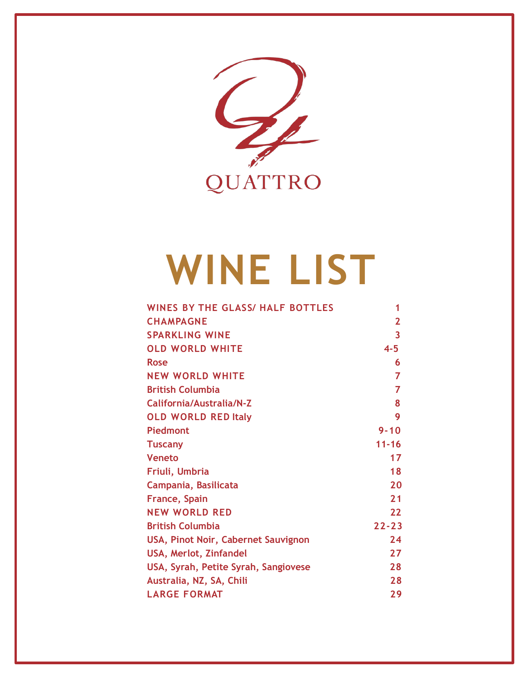

# **WINE LIST**

| <b>WINES BY THE GLASS/ HALF BOTTLES</b> | 1              |
|-----------------------------------------|----------------|
| <b>CHAMPAGNE</b>                        | $\overline{2}$ |
| <b>SPARKLING WINE</b>                   | 3              |
| <b>OLD WORLD WHITE</b>                  | $4 - 5$        |
| <b>Rose</b>                             | 6              |
| <b>NEW WORLD WHITE</b>                  | 7              |
| <b>British Columbia</b>                 | $\overline{7}$ |
| California/Australia/N-Z                | 8              |
| <b>OLD WORLD RED Italy</b>              | 9              |
| Piedmont                                | $9 - 10$       |
| <b>Tuscany</b>                          | $11 - 16$      |
| <b>Veneto</b>                           | 17             |
| Friuli, Umbria                          | 18             |
| Campania, Basilicata                    | 20             |
| <b>France, Spain</b>                    | 21             |
| <b>NEW WORLD RED</b>                    | 22             |
| <b>British Columbia</b>                 | $22 - 23$      |
| USA, Pinot Noir, Cabernet Sauvignon     | 24             |
| USA, Merlot, Zinfandel                  | 27             |
| USA, Syrah, Petite Syrah, Sangiovese    | 28             |
| Australia, NZ, SA, Chili                | 28             |
| <b>LARGE FORMAT</b>                     | 29             |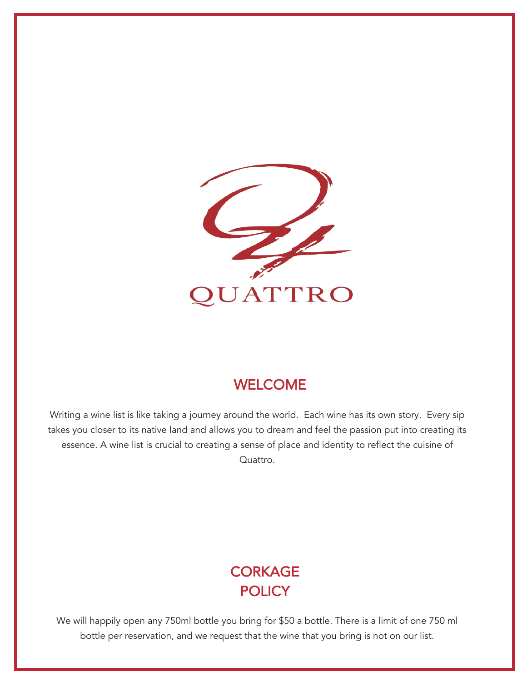

### WELCOME

Writing a wine list is like taking a journey around the world. Each wine has its own story. Every sip takes you closer to its native land and allows you to dream and feel the passion put into creating its essence. A wine list is crucial to creating a sense of place and identity to reflect the cuisine of Quattro.

# **CORKAGE POLICY**

We will happily open any 750ml bottle you bring for \$50 a bottle. There is a limit of one 750 ml bottle per reservation, and we request that the wine that you bring is not on our list.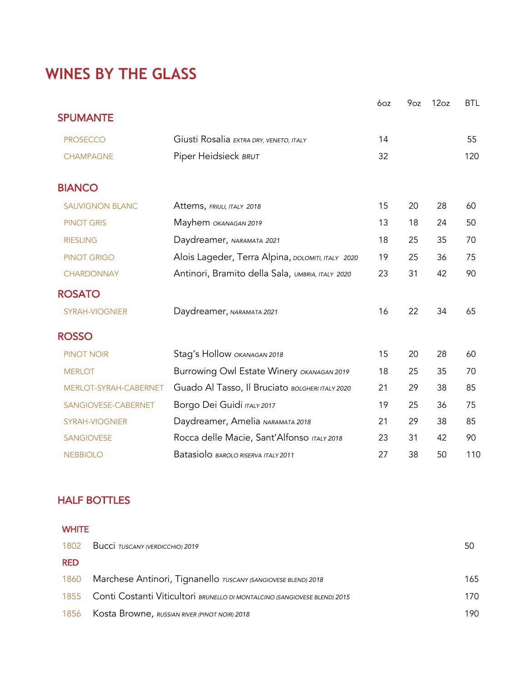# **WINES BY THE GLASS**

|                        |                                                   | 6oz | 9oz | 12oz | <b>BTL</b> |
|------------------------|---------------------------------------------------|-----|-----|------|------------|
| <b>SPUMANTE</b>        |                                                   |     |     |      |            |
| <b>PROSECCO</b>        | Giusti Rosalia EXTRA DRY, VENETO, ITALY           | 14  |     |      | 55         |
| <b>CHAMPAGNE</b>       | Piper Heidsieck BRUT                              | 32  |     |      | 120        |
| <b>BIANCO</b>          |                                                   |     |     |      |            |
| <b>SAUVIGNON BLANC</b> | Attems, FRIULI, ITALY 2018                        | 15  | 20  | 28   | 60         |
| <b>PINOT GRIS</b>      | Mayhem OKANAGAN 2019                              | 13  | 18  | 24   | 50         |
| <b>RIESLING</b>        | Daydreamer, NARAMATA 2021                         | 18  | 25  | 35   | 70         |
| <b>PINOT GRIGO</b>     | Alois Lageder, Terra Alpina, DOLOMITI, ITALY 2020 | 19  | 25  | 36   | 75         |
| <b>CHARDONNAY</b>      | Antinori, Bramito della Sala, UMBRIA, ITALY 2020  | 23  | 31  | 42   | 90         |
| <b>ROSATO</b>          |                                                   |     |     |      |            |
| SYRAH-VIOGNIER         | Daydreamer, NARAMATA 2021                         | 16  | 22  | 34   | 65         |
| <b>ROSSO</b>           |                                                   |     |     |      |            |
| <b>PINOT NOIR</b>      | Stag's Hollow OKANAGAN 2018                       | 15  | 20  | 28   | 60         |
| <b>MERLOT</b>          | Burrowing Owl Estate Winery OKANAGAN 2019         | 18  | 25  | 35   | 70         |
| MERLOT-SYRAH-CABERNET  | Guado Al Tasso, Il Bruciato BOLGHERI ITALY 2020   | 21  | 29  | 38   | 85         |
| SANGIOVESE-CABERNET    | Borgo Dei Guidi ITALY 2017                        | 19  | 25  | 36   | 75         |
| <b>SYRAH-VIOGNIER</b>  | Daydreamer, Amelia NARAMATA 2018                  | 21  | 29  | 38   | 85         |
| <b>SANGIOVESE</b>      | Rocca delle Macie, Sant'Alfonso ITALY 2018        | 23  | 31  | 42   | 90         |
| <b>NEBBIOLO</b>        | Batasiolo BAROLO RISERVA ITALY 2011               | 27  | 38  | 50   | 110        |

### HALF BOTTLES

| <b>WHITE</b> |                                                                           |     |
|--------------|---------------------------------------------------------------------------|-----|
| 1802         | Bucci TUSCANY (VERDICCHIO) 2019                                           | 50  |
| <b>RED</b>   |                                                                           |     |
| 1860         | Marchese Antinori, Tignanello TUSCANY (SANGIOVESE BLEND) 2018             | 165 |
| 1855         | Conti Costanti Viticultori BRUNELLO DI MONTALCINO (SANGIOVESE BLEND) 2015 | 170 |
| 1856         | Kosta Browne, RUSSIAN RIVER (PINOT NOIR) 2018                             | 190 |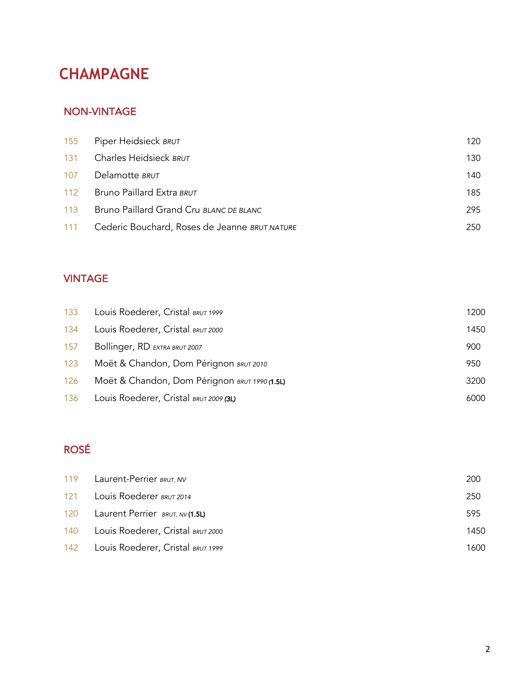# **CHAMPAGNE**

#### NON-VINTAGE

|     | 155 Piper Heidsieck BRUT                      | 120 |
|-----|-----------------------------------------------|-----|
| 131 | Charles Heidsieck BRUT                        | 130 |
| 107 | Delamotte BRUT                                | 140 |
| 112 | Bruno Paillard Extra BRUT                     | 185 |
| 113 | Bruno Paillard Grand Cru BLANC DE BLANC       | 295 |
| 111 | Cederic Bouchard, Roses de Jeanne BRUT NATURE | 250 |

### VINTAGE

| 133 | Louis Roederer, Cristal BRUT 1999             | 1200 |
|-----|-----------------------------------------------|------|
| 134 | Louis Roederer, Cristal BRUT 2000             | 1450 |
| 157 | Bollinger, RD EXTRA BRUT 2007                 | 900  |
| 123 | Moët & Chandon, Dom Pérignon BRUT 2010        | 950  |
| 126 | Moët & Chandon, Dom Pérignon BRUT 1990 (1.5L) | 3200 |
| 136 | Louis Roederer, Cristal BRUT 2009 (3L)        | 6000 |

### ROSÉ

| 119 Laurent-Perrier BRUT, NV          | 200  |
|---------------------------------------|------|
| 121 Louis Roederer BRUT 2014          | 250  |
| 120 Laurent Perrier BRUT, NV (1.5L)   | 595  |
| 140 Louis Roederer, Cristal BRUT 2000 | 1450 |
| 142 Louis Roederer, Cristal BRUT 1999 | 1600 |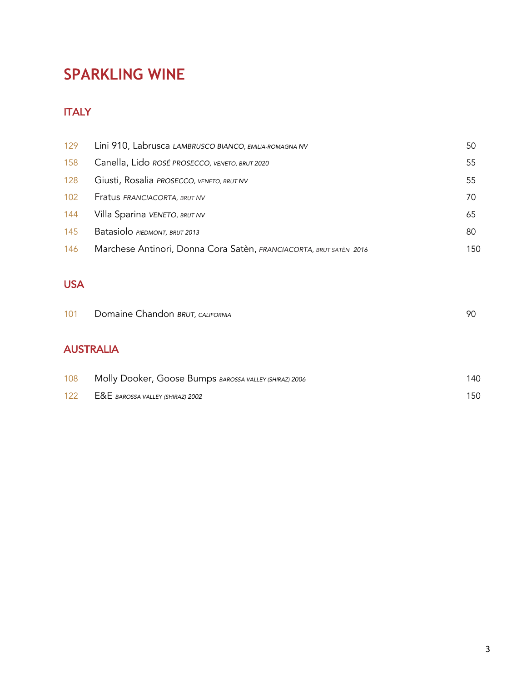# **SPARKLING WINE**

### **ITALY**

| 129 | Lini 910, Labrusca LAMBRUSCO BIANCO, EMILIA-ROMAGNA NV             | 50  |
|-----|--------------------------------------------------------------------|-----|
| 158 | Canella, Lido ROSÉ PROSECCO, VENETO, BRUT 2020                     | 55  |
| 128 | Giusti, Rosalia PROSECCO, VENETO, BRUT NV                          | 55  |
| 102 | Fratus FRANCIACORTA, BRUT NV                                       | 70  |
| 144 | Villa Sparina VENETO, BRUT NV                                      | 65  |
| 145 | Batasiolo PIEDMONT, BRUT 2013                                      | 80  |
| 146 | Marchese Antinori, Donna Cora Satèn, FRANCIACORTA, BRUT SATÈN 2016 | 150 |

### USA

| 101 | Domaine Chandon BRUT, CALIFORNIA                       | 90  |
|-----|--------------------------------------------------------|-----|
|     | <b>AUSTRALIA</b>                                       |     |
| 108 | Molly Dooker, Goose Bumps BAROSSA VALLEY (SHIRAZ) 2006 | 140 |
| 122 | E&E BAROSSA VALLEY (SHIRAZ) 2002                       | 150 |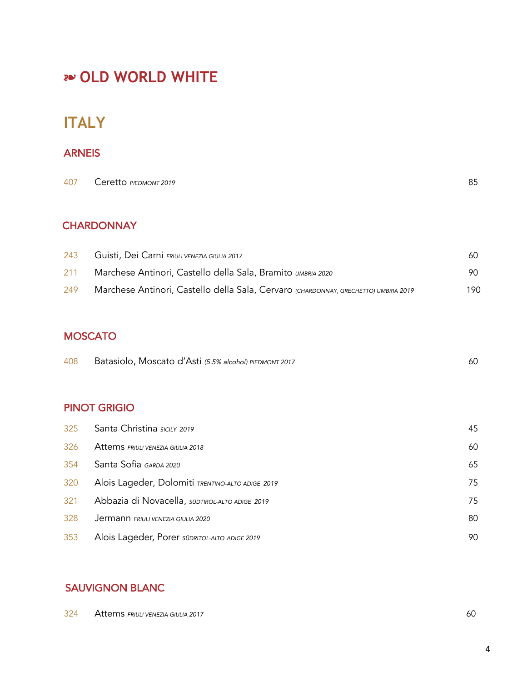# !"**OLD WORLD WHITE**

# **ITALY**

#### **ARNEIS**

| 407 Ceretto PIEDMONT 2019 | 85 |
|---------------------------|----|
|                           |    |

### **CHARDONNAY**

| 243 | Guisti, Dei Carni FRIULI VENEZIA GIULIA 2017                                        | 60  |
|-----|-------------------------------------------------------------------------------------|-----|
| 211 | Marchese Antinori, Castello della Sala, Bramito UMBRIA 2020                         | 90. |
| 249 | Marchese Antinori, Castello della Sala, Cervaro (CHARDONNAY, GRECHETTO) UMBRIA 2019 | 190 |

#### **MOSCATO**

| 408 | Batasiolo, Moscato d'Asti (5.5% alcohol) PIEDMONT 2017 |  |
|-----|--------------------------------------------------------|--|
|-----|--------------------------------------------------------|--|

#### PINOT GRIGIO

| 325 | Santa Christina sicily 2019                      | 45 |
|-----|--------------------------------------------------|----|
| 326 | Attems FRIULI VENEZIA GIULIA 2018                | 60 |
| 354 | Santa Sofia GARDA 2020                           | 65 |
| 320 | Alois Lageder, Dolomiti TRENTINO-ALTO ADIGE 2019 | 75 |
| 321 | Abbazia di Novacella, SÜDTIROL-ALTO ADIGE 2019   | 75 |
| 328 | Jermann FRIULI VENEZIA GIULIA 2020               | 80 |
| 353 | Alois Lageder, Porer SÜDRITOL-ALTO ADIGE 2019    | 90 |

#### SAUVIGNON BLANC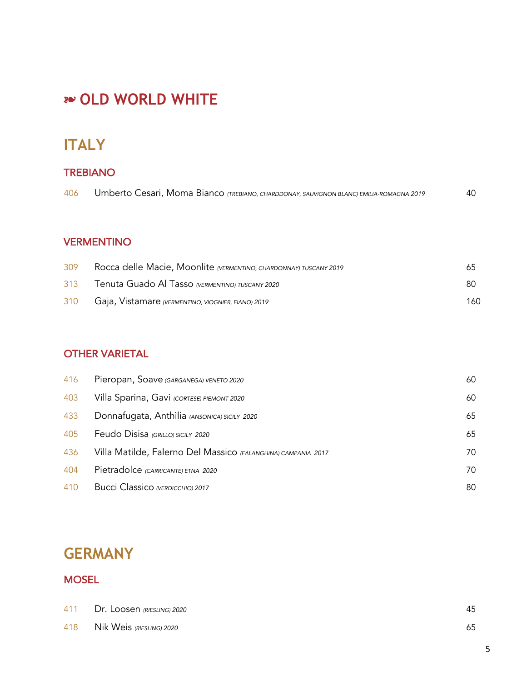# !"**OLD WORLD WHITE**

### TREBIANO

| 406 | Umberto Cesari, Moma Bianco (TREBIANO, CHARDDONAY, SAUVIGNON BLANC) EMILIA-ROMAGNA 2019 | 40 |
|-----|-----------------------------------------------------------------------------------------|----|
|-----|-----------------------------------------------------------------------------------------|----|

### VERMENTINO

| 309 | Rocca delle Macie, Moonlite (VERMENTINO, CHARDONNAY) TUSCANY 2019 | 65. |
|-----|-------------------------------------------------------------------|-----|
| 313 | Tenuta Guado Al Tasso (VERMENTINO) TUSCANY 2020                   | 80  |
| 310 | Gaja, Vistamare (VERMENTINO, VIOGNIER, FIANO) 2019                | 160 |

### OTHER VARIETAL

| 416 | Pieropan, Soave (GARGANEGA) VENETO 2020                       | 60 |
|-----|---------------------------------------------------------------|----|
| 403 | Villa Sparina, Gavi (CORTESE) PIEMONT 2020                    | 60 |
| 433 | Donnafugata, Anthilia (ANSONICA) SICILY 2020                  | 65 |
| 405 | Feudo Disisa (GRILLO) SICILY 2020                             | 65 |
| 436 | Villa Matilde, Falerno Del Massico (FALANGHINA) CAMPANIA 2017 | 70 |
| 404 | Pietradolce (CARRICANTE) ETNA 2020                            | 70 |
| 410 | Bucci Classico (VERDICCHIO) 2017                              | 80 |

# **GERMANY**

### **MOSEL**

|     | 411 Dr. Loosen (RIESLING) 2020 | 45 |
|-----|--------------------------------|----|
| 418 | Nik Weis (RIESLING) 2020       | 65 |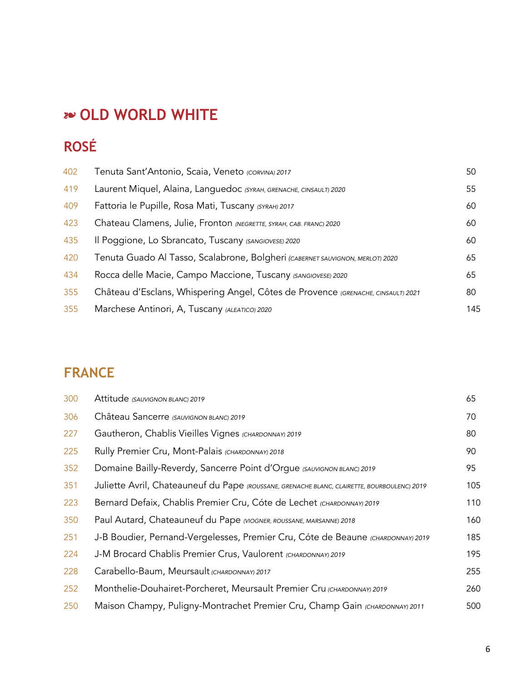# !"**OLD WORLD WHITE**

# **ROSÉ**

| 402 | Tenuta Sant'Antonio, Scaia, Veneto (CORVINA) 2017                                | 50  |
|-----|----------------------------------------------------------------------------------|-----|
| 419 | Laurent Miquel, Alaina, Languedoc (SYRAH, GRENACHE, CINSAULT) 2020               | 55  |
| 409 | Fattoria le Pupille, Rosa Mati, Tuscany (SYRAH) 2017                             | 60  |
| 423 | Chateau Clamens, Julie, Fronton (NEGRETTE, SYRAH, CAB. FRANC) 2020               | 60  |
| 435 | Il Poggione, Lo Sbrancato, Tuscany (SANGIOVESE) 2020                             | 60  |
| 420 | Tenuta Guado Al Tasso, Scalabrone, Bolgheri (CABERNET SAUVIGNON, MERLOT) 2020    | 65  |
| 434 | Rocca delle Macie, Campo Maccione, Tuscany (SANGIOVESE) 2020                     | 65  |
| 355 | Château d'Esclans, Whispering Angel, Côtes de Provence (GRENACHE, CINSAULT) 2021 | 80  |
| 355 | Marchese Antinori, A, Tuscany (ALEATICO) 2020                                    | 145 |

# **FRANCE**

| 300 | Attitude (SAUVIGNON BLANC) 2019                                                             | 65  |
|-----|---------------------------------------------------------------------------------------------|-----|
| 306 | Château Sancerre (SAUVIGNON BLANC) 2019                                                     | 70  |
| 227 | Gautheron, Chablis Vieilles Vignes (CHARDONNAY) 2019                                        | 80  |
| 225 | Rully Premier Cru, Mont-Palais (CHARDONNAY) 2018                                            | 90  |
| 352 | Domaine Bailly-Reverdy, Sancerre Point d'Orgue (SAUVIGNON BLANC) 2019                       | 95  |
| 351 | Juliette Avril, Chateauneuf du Pape (ROUSSANE, GRENACHE BLANC, CLAIRETTE, BOURBOULENC) 2019 | 105 |
| 223 | Bernard Defaix, Chablis Premier Cru, Cóte de Lechet (CHARDONNAY) 2019                       | 110 |
| 350 | Paul Autard, Chateauneuf du Pape (VIOGNER, ROUSSANE, MARSANNE) 2018                         | 160 |
| 251 | J-B Boudier, Pernand-Vergelesses, Premier Cru, Cóte de Beaune (CHARDONNAY) 2019             | 185 |
| 224 | J-M Brocard Chablis Premier Crus, Vaulorent (CHARDONNAY) 2019                               | 195 |
| 228 | Carabello-Baum, Meursault (CHARDONNAY) 2017                                                 | 255 |
| 252 | Monthelie-Douhairet-Porcheret, Meursault Premier Cru (CHARDONNAY) 2019                      | 260 |
| 250 | Maison Champy, Puligny-Montrachet Premier Cru, Champ Gain (CHARDONNAY) 2011                 | 500 |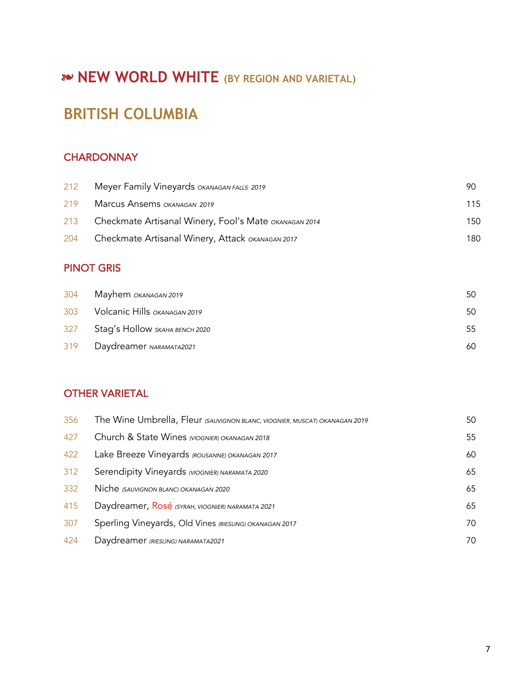# **20 NEW WORLD WHITE** (BY REGION AND VARIETAL)

# **BRITISH COLUMBIA**

#### **CHARDONNAY**

| 212 | Meyer Family Vineyards OKANAGAN FALLS 2019            | 90  |
|-----|-------------------------------------------------------|-----|
| 219 | Marcus Ansems OKANAGAN 2019                           | 115 |
| 213 | Checkmate Artisanal Winery, Fool's Mate OKANAGAN 2014 | 150 |
| 204 | Checkmate Artisanal Winery, Attack OKANAGAN 2017      | 180 |

### PINOT GRIS

| 304 | Mayhem <i>ока</i> ласал 2019          | 50 |
|-----|---------------------------------------|----|
|     | 303 Volcanic Hills OKANAGAN 2019      | 50 |
| 327 | Stag's Hollow <i>skaha bench 2020</i> | 55 |
| 319 | Daydreamer NARAMATA2021               | 60 |

#### OTHER VARIETAL

| 356 | The Wine Umbrella, Fleur (SAUVIGNON BLANC, VIOGNIER, MUSCAT) OKANAGAN 2019 | 50 |
|-----|----------------------------------------------------------------------------|----|
| 427 | Church & State Wines (VIOGNIER) OKANAGAN 2018                              | 55 |
| 422 | Lake Breeze Vineyards (ROUSANNE) OKANAGAN 2017                             | 60 |
| 312 | Serendipity Vineyards (VIOGNIER) NARAMATA 2020                             | 65 |
| 332 | Niche (SAUVIGNON BLANC) OKANAGAN 2020                                      | 65 |
| 415 | Daydreamer, Rosé (SYRAH, VIOGNIER) NARAMATA 2021                           | 65 |
| 307 | Sperling Vineyards, Old Vines (RIESLING) OKANAGAN 2017                     | 70 |
| 424 | Daydreamer (RIESLING) NARAMATA2021                                         | 70 |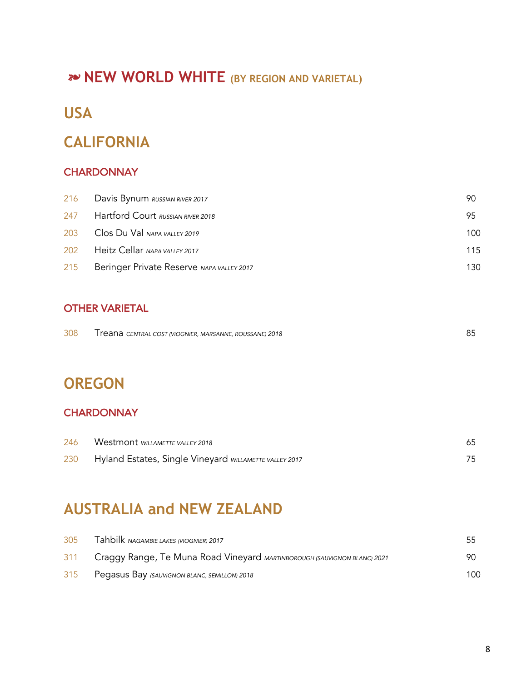# ! **NEW WORLD WHITE (BY REGION AND VARIETAL)**

# **USA**

# **CALIFORNIA**

#### **CHARDONNAY**

|     | 216 Davis Bynum RUSSIAN RIVER 2017        | 90  |
|-----|-------------------------------------------|-----|
| 247 | Hartford Court RUSSIAN RIVER 2018         | 95  |
| 203 | Clos Du Val NAPA VALLEY 2019              | 100 |
| 202 | Heitz Cellar NAPA VALLEY 2017             | 115 |
| 215 | Beringer Private Reserve NAPA VALLEY 2017 | 130 |

#### OTHER VARIETAL

| 308 | I reana central cost (VIOGNIER, MARSANNE, ROUSSANE) 2018 |  |
|-----|----------------------------------------------------------|--|
|     |                                                          |  |

# **OREGON**

#### **CHARDONNAY**

| 246 | Westmont WILLAMETTE VALLEY 2018                        |  |
|-----|--------------------------------------------------------|--|
| 230 | Hyland Estates, Single Vineyard WILLAMETTE VALLEY 2017 |  |

# **AUSTRALIA and NEW ZEALAND**

| 305 | Tahbilk NAGAMBIE LAKES (VIOGNIER) 2017                                       | 55  |
|-----|------------------------------------------------------------------------------|-----|
|     | 311 Craggy Range, Te Muna Road Vineyard MARTINBOROUGH (SAUVIGNON BLANC) 2021 | 90  |
| 315 | Pegasus Bay (SAUVIGNON BLANC, SEMILLON) 2018                                 | 100 |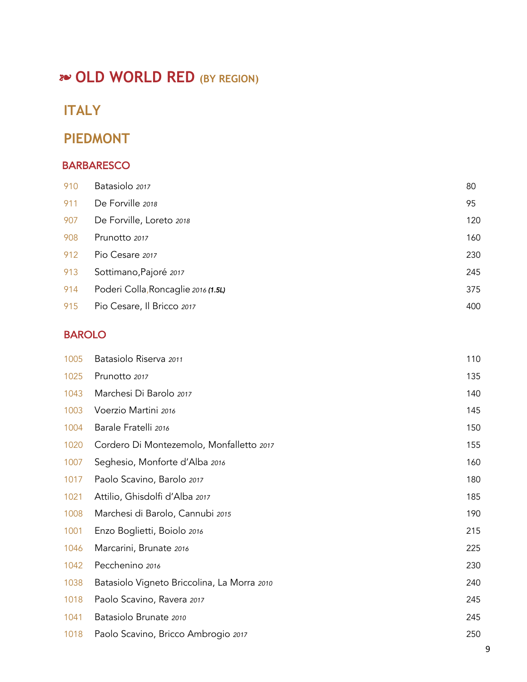# **20 OLD WORLD RED (BY REGION)**

# **ITALY**

### **PIEDMONT**

### **BARBARESCO**

| 910 | Batasiolo 2017                      | 80  |
|-----|-------------------------------------|-----|
| 911 | De Forville 2018                    | 95  |
| 907 | De Forville, Loreto 2018            | 120 |
| 908 | Prunotto 2017                       | 160 |
| 912 | Pio Cesare 2017                     | 230 |
| 913 | Sottimano, Pajoré 2017              | 245 |
| 914 | Poderi Colla, Roncaglie 2016 (1.5L) | 375 |
| 915 | Pio Cesare, Il Bricco 2017          | 400 |

### BAROLO

| 1005 | Batasiolo Riserva 2011                      | 110 |
|------|---------------------------------------------|-----|
| 1025 | Prunotto 2017                               | 135 |
| 1043 | Marchesi Di Barolo 2017                     | 140 |
| 1003 | Voerzio Martini 2016                        | 145 |
| 1004 | Barale Fratelli 2016                        | 150 |
| 1020 | Cordero Di Montezemolo, Monfalletto 2017    | 155 |
| 1007 | Seghesio, Monforte d'Alba 2016              | 160 |
| 1017 | Paolo Scavino, Barolo 2017                  | 180 |
| 1021 | Attilio, Ghisdolfi d'Alba 2017              | 185 |
| 1008 | Marchesi di Barolo, Cannubi 2015            | 190 |
| 1001 | Enzo Boglietti, Boiolo 2016                 | 215 |
| 1046 | Marcarini, Brunate 2016                     | 225 |
| 1042 | Pecchenino 2016                             | 230 |
| 1038 | Batasiolo Vigneto Briccolina, La Morra 2010 | 240 |
| 1018 | Paolo Scavino, Ravera 2017                  | 245 |
| 1041 | Batasiolo Brunate 2010                      | 245 |
| 1018 | Paolo Scavino, Bricco Ambrogio 2017         | 250 |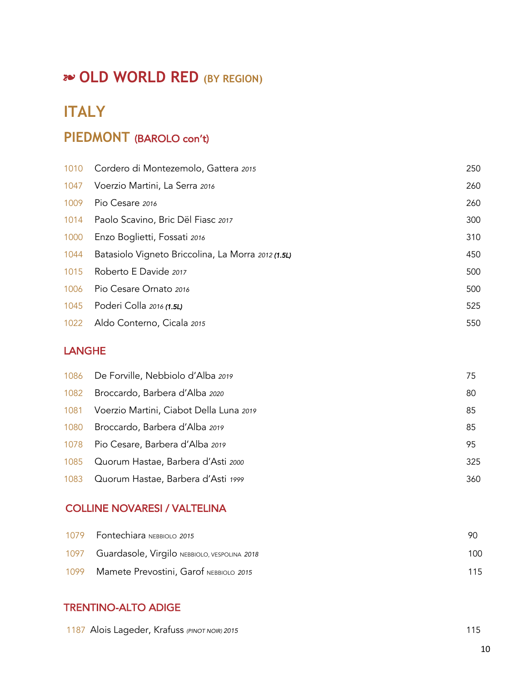# !"**OLD WORLD RED (BY REGION)**

# **ITALY**

# **PIEDMONT** (BAROLO con't)

|      | 1010 Cordero di Montezemolo, Gattera 2015          | 250 |
|------|----------------------------------------------------|-----|
| 1047 | Voerzio Martini, La Serra 2016                     | 260 |
| 1009 | Pio Cesare 2016                                    | 260 |
|      | 1014 Paolo Scavino, Bric Dël Fiasc 2017            | 300 |
| 1000 | Enzo Boglietti, Fossati 2016                       | 310 |
| 1044 | Batasiolo Vigneto Briccolina, La Morra 2012 (1.5L) | 450 |
| 1015 | Roberto E Davide 2017                              | 500 |
| 1006 | Pio Cesare Ornato 2016                             | 500 |
| 1045 | Poderi Colla 2016 (1.5L)                           | 525 |
|      | 1022 Aldo Conterno, Cicala 2015                    | 550 |

#### LANGHE

|      | 1086 De Forville, Nebbiolo d'Alba 2019  | 75  |
|------|-----------------------------------------|-----|
| 1082 | Broccardo, Barbera d'Alba 2020          | 80  |
| 1081 | Voerzio Martini, Ciabot Della Luna 2019 | 85  |
| 1080 | Broccardo, Barbera d'Alba 2019          | 85  |
|      | 1078 Pio Cesare, Barbera d'Alba 2019    | 95  |
|      | 1085 Quorum Hastae, Barbera d'Asti 2000 | 325 |
|      | 1083 Quorum Hastae, Barbera d'Asti 1999 | 360 |

#### COLLINE NOVARESI / VALTELINA

|      | 1079 Fontechiara NEBBIOLO 2015                    | -90 |
|------|---------------------------------------------------|-----|
|      | 1097 Guardasole, Virgilo NEBBIOLO, VESPOLINA 2018 | 100 |
| 1099 | Mamete Prevostini, Garof NEBBIOLO 2015            | 115 |

### TRENTINO-ALTO ADIGE

| 1187 Alois Lageder, Krafuss (PINOT NOIR) 2015 |  |
|-----------------------------------------------|--|
|-----------------------------------------------|--|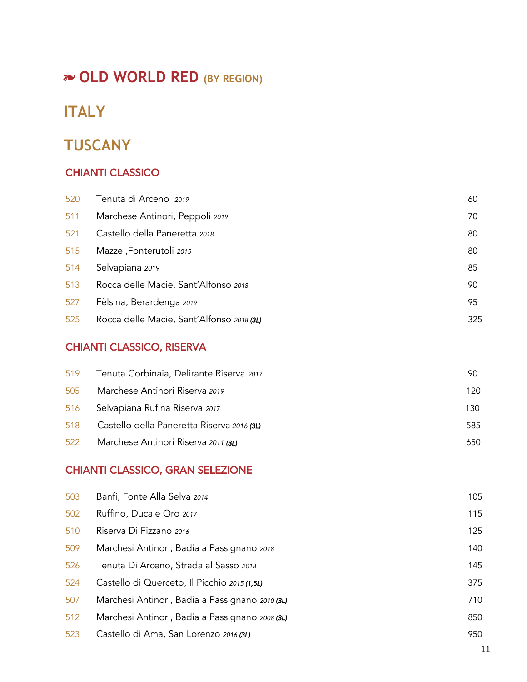# !"**OLD WORLD RED (BY REGION)**

# **ITALY**

# **TUSCANY**

### CHIANTI CLASSICO

| 520 | Tenuta di Arceno 2019                     | 60  |
|-----|-------------------------------------------|-----|
| 511 | Marchese Antinori, Peppoli 2019           | 70  |
| 521 | Castello della Paneretta 2018             | 80  |
| 515 | Mazzei, Fonterutoli 2015                  | 80  |
| 514 | Selvapiana 2019                           | 85  |
| 513 | Rocca delle Macie, Sant'Alfonso 2018      | 90  |
| 527 | Fèlsina, Berardenga 2019                  | 95  |
| 525 | Rocca delle Macie, Sant'Alfonso 2018 (3L) | 325 |

#### CHIANTI CLASSICO, RISERVA

| Tenuta Corbinaia, Delirante Riserva 2017   | 90  |
|--------------------------------------------|-----|
| Marchese Antinori Riserva 2019             | 120 |
| Selvapiana Rufina Riserva 2017             | 130 |
| Castello della Paneretta Riserva 2016 (3L) | 585 |
| Marchese Antinori Riserva 2011 (3L)        | 650 |
|                                            |     |

#### CHIANTI CLASSICO, GRAN SELEZIONE

| 503 | Banfi, Fonte Alla Selva 2014                    | 105 |
|-----|-------------------------------------------------|-----|
| 502 | Ruffino, Ducale Oro 2017                        | 115 |
| 510 | Riserva Di Fizzano 2016                         | 125 |
| 509 | Marchesi Antinori, Badia a Passignano 2018      | 140 |
| 526 | Tenuta Di Arceno, Strada al Sasso 2018          | 145 |
| 524 | Castello di Querceto, Il Picchio 2015 (1,5L)    | 375 |
| 507 | Marchesi Antinori, Badia a Passignano 2010 (3L) | 710 |
| 512 | Marchesi Antinori, Badia a Passignano 2008 (3L) | 850 |
| 523 | Castello di Ama, San Lorenzo 2016 (3L)          | 950 |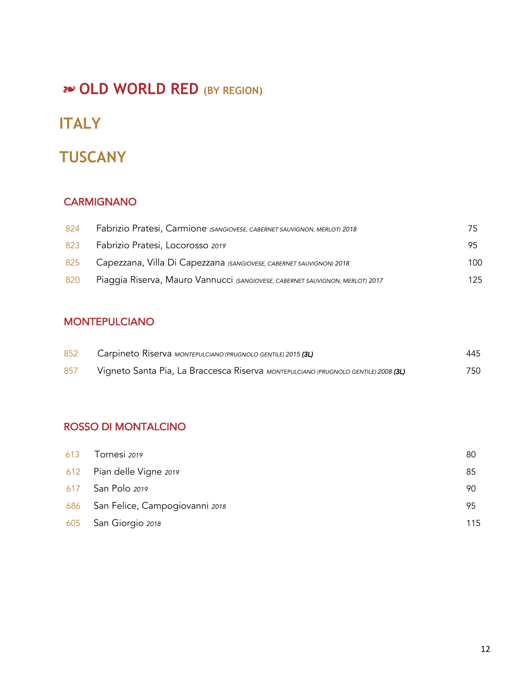# **20 OLD WORLD RED (BY REGION)**

# **ITALY**

# **TUSCANY**

### **CARMIGNANO**

| 824 | Fabrizio Pratesi, Carmione (SANGIOVESE, CABERNET SAUVIGNON, MERLOT) 2018      |     |
|-----|-------------------------------------------------------------------------------|-----|
| 823 | Fabrizio Pratesi, Locorosso 2019                                              | 95  |
| 825 | Capezzana, Villa Di Capezzana (SANGIOVESE, CABERNET SAUVIGNON) 2018           | 100 |
| 820 | Piaggia Riserva, Mauro Vannucci (SANGIOVESE, CABERNET SAUVIGNON, MERLOT) 2017 | 125 |

#### MONTEPULCIANO

| 852 | Carpineto Riserva MONTEPULCIANO (PRUGNOLO GENTILE) 2015 (3L)                       | 445 |
|-----|------------------------------------------------------------------------------------|-----|
| 857 | Vigneto Santa Pia, La Braccesca Riserva MONTEPULCIANO (PRUGNOLO GENTILE) 2008 (3L) | 750 |

### ROSSO DI MONTALCINO

| 613 | Tornesi 2019                       | 80  |
|-----|------------------------------------|-----|
|     | 612 Pian delle Vigne 2019          | 85  |
|     | 617 San Polo 2019                  | 90  |
|     | 686 San Felice, Campogiovanni 2018 | 95  |
|     | 605 San Giorgio 2018               | 115 |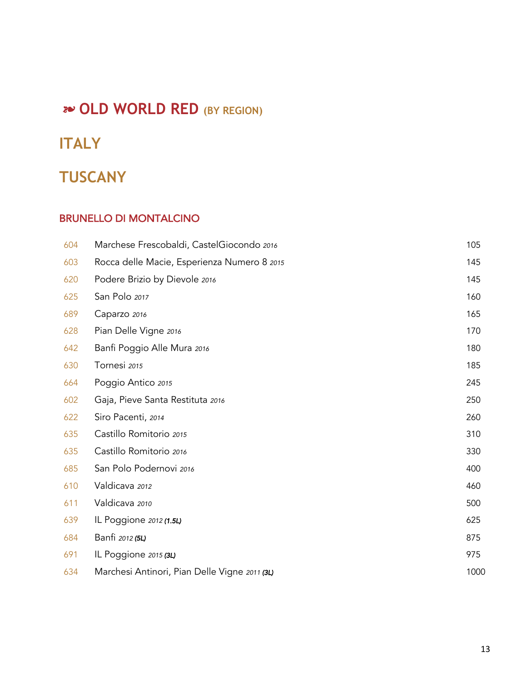# **2<sup>2</sup> OLD WORLD RED** (BY REGION)

# **ITALY**

# **TUSCANY**

#### BRUNELLO DI MONTALCINO

| 604 | Marchese Frescobaldi, CastelGiocondo 2016     | 105  |
|-----|-----------------------------------------------|------|
| 603 | Rocca delle Macie, Esperienza Numero 8 2015   | 145  |
| 620 | Podere Brizio by Dievole 2016                 | 145  |
| 625 | San Polo 2017                                 | 160  |
| 689 | Caparzo 2016                                  | 165  |
| 628 | Pian Delle Vigne 2016                         | 170  |
| 642 | Banfi Poggio Alle Mura 2016                   | 180  |
| 630 | Tornesi 2015                                  | 185  |
| 664 | Poggio Antico 2015                            | 245  |
| 602 | Gaja, Pieve Santa Restituta 2016              | 250  |
| 622 | Siro Pacenti, 2014                            | 260  |
| 635 | Castillo Romitorio 2015                       | 310  |
| 635 | Castillo Romitorio 2016                       | 330  |
| 685 | San Polo Podernovi 2016                       | 400  |
| 610 | Valdicava 2012                                | 460  |
| 611 | Valdicava 2010                                | 500  |
| 639 | IL Poggione 2012 (1.5L)                       | 625  |
| 684 | Banfi 2012 (5L)                               | 875  |
| 691 | IL Poggione 2015 (3L)                         | 975  |
| 634 | Marchesi Antinori, Pian Delle Vigne 2011 (3L) | 1000 |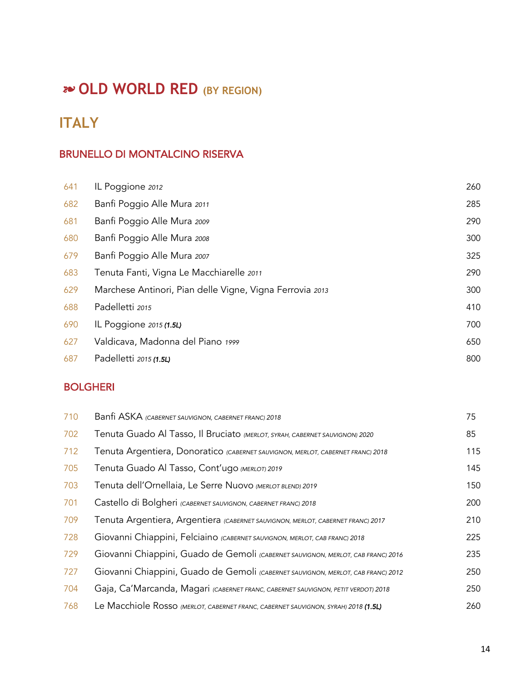# **20 OLD WORLD RED (BY REGION)**

# **ITALY**

### BRUNELLO DI MONTALCINO RISERVA

| 641 | IL Poggione 2012                                         | 260 |
|-----|----------------------------------------------------------|-----|
| 682 | Banfi Poggio Alle Mura 2011                              | 285 |
| 681 | Banfi Poggio Alle Mura 2009                              | 290 |
| 680 | Banfi Poggio Alle Mura 2008                              | 300 |
| 679 | Banfi Poggio Alle Mura 2007                              | 325 |
| 683 | Tenuta Fanti, Vigna Le Macchiarelle 2011                 | 290 |
| 629 | Marchese Antinori, Pian delle Vigne, Vigna Ferrovia 2013 | 300 |
| 688 | Padelletti 2015                                          | 410 |
| 690 | IL Poggione 2015 (1.5L)                                  | 700 |
| 627 | Valdicava, Madonna del Piano 1999                        | 650 |
| 687 | Padelletti 2015 (1.5L)                                   | 800 |

### BOLGHERI

| 710 | Banfi ASKA (CABERNET SAUVIGNON, CABERNET FRANC) 2018                               | 75  |
|-----|------------------------------------------------------------------------------------|-----|
| 702 | Tenuta Guado Al Tasso, Il Bruciato (MERLOT, SYRAH, CABERNET SAUVIGNON) 2020        | 85  |
| 712 | Tenuta Argentiera, Donoratico (CABERNET SAUVIGNON, MERLOT, CABERNET FRANC) 2018    | 115 |
| 705 | Tenuta Guado Al Tasso, Cont'ugo (MERLOT) 2019                                      | 145 |
| 703 | Tenuta dell'Ornellaia, Le Serre Nuovo (MERLOT BLEND) 2019                          | 150 |
| 701 | Castello di Bolgheri (CABERNET SAUVIGNON, CABERNET FRANC) 2018                     | 200 |
| 709 | Tenuta Argentiera, Argentiera (CABERNET SAUVIGNON, MERLOT, CABERNET FRANC) 2017    | 210 |
| 728 | Giovanni Chiappini, Felciaino (CABERNET SAUVIGNON, MERLOT, CAB FRANC) 2018         | 225 |
| 729 | Giovanni Chiappini, Guado de Gemoli (CABERNET SAUVIGNON, MERLOT, CAB FRANC) 2016   | 235 |
| 727 | Giovanni Chiappini, Guado de Gemoli (CABERNET SAUVIGNON, MERLOT, CAB FRANC) 2012   | 250 |
| 704 | Gaja, Ca'Marcanda, Magari (CABERNET FRANC, CABERNET SAUVIGNON, PETIT VERDOT) 2018  | 250 |
| 768 | Le Macchiole Rosso (MERLOT, CABERNET FRANC, CABERNET SAUVIGNON, SYRAH) 2018 (1.5L) | 260 |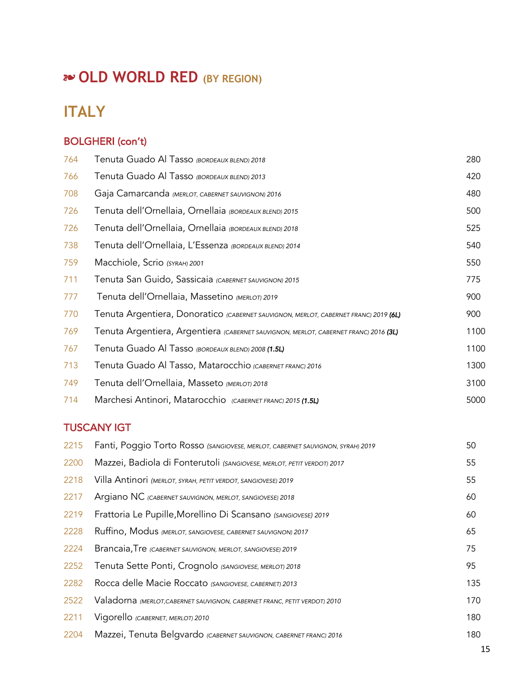# **20 OLD WORLD RED (BY REGION)**

# **ITALY**

#### BOLGHERI (con't)

| 764 | Tenuta Guado Al Tasso (BORDEAUX BLEND) 2018                                          | 280  |
|-----|--------------------------------------------------------------------------------------|------|
| 766 | Tenuta Guado Al Tasso (BORDEAUX BLEND) 2013                                          | 420  |
| 708 | Gaja Camarcanda (MERLOT, CABERNET SAUVIGNON) 2016                                    | 480  |
| 726 | Tenuta dell'Ornellaia, Ornellaia (BORDEAUX BLEND) 2015                               | 500  |
| 726 | Tenuta dell'Ornellaia, Ornellaia (BORDEAUX BLEND) 2018                               | 525  |
| 738 | Tenuta dell'Ornellaia, L'Essenza (BORDEAUX BLEND) 2014                               | 540  |
| 759 | Macchiole, Scrio (SYRAH) 2001                                                        | 550  |
| 711 | Tenuta San Guido, Sassicaia (CABERNET SAUVIGNON) 2015                                | 775  |
| 777 | Tenuta dell'Ornellaia, Massetino (MERLOT) 2019                                       | 900  |
| 770 | Tenuta Argentiera, Donoratico (CABERNET SAUVIGNON, MERLOT, CABERNET FRANC) 2019 (6L) | 900  |
| 769 | Tenuta Argentiera, Argentiera (CABERNET SAUVIGNON, MERLOT, CABERNET FRANC) 2016 (3L) | 1100 |
| 767 | Tenuta Guado Al Tasso (BORDEAUX BLEND) 2008 (1.5L)                                   | 1100 |
| 713 | Tenuta Guado Al Tasso, Matarocchio (CABERNET FRANC) 2016                             | 1300 |
| 749 | Tenuta dell'Ornellaia, Masseto (MERLOT) 2018                                         | 3100 |
| 714 | Marchesi Antinori, Matarocchio (CABERNET FRANC) 2015 (1.5L)                          | 5000 |

### TUSCANY IGT

| 2215 | Fanti, Poggio Torto Rosso (SANGIOVESE, MERLOT, CABERNET SAUVIGNON, SYRAH) 2019 | 50  |
|------|--------------------------------------------------------------------------------|-----|
| 2200 | Mazzei, Badiola di Fonterutoli (SANGIOVESE, MERLOT, PETIT VERDOT) 2017         | 55  |
| 2218 | Villa Antinori (MERLOT, SYRAH, PETIT VERDOT, SANGIOVESE) 2019                  | 55  |
| 2217 | Argiano NC (CABERNET SAUVIGNON, MERLOT, SANGIOVESE) 2018                       | 60  |
| 2219 | Frattoria Le Pupille, Morellino Di Scansano (SANGIOVESE) 2019                  | 60  |
| 2228 | Ruffino, Modus (MERLOT, SANGIOVESE, CABERNET SAUVIGNON) 2017                   | 65  |
| 2224 | Brancaia, Tre (CABERNET SAUVIGNON, MERLOT, SANGIOVESE) 2019                    | 75  |
| 2252 | Tenuta Sette Ponti, Crognolo (SANGIOVESE, MERLOT) 2018                         | 95  |
| 2282 | Rocca delle Macie Roccato (SANGIOVESE, CABERNET) 2013                          | 135 |
| 2522 | Valadorna (MERLOT, CABERNET SAUVIGNON, CABERNET FRANC, PETIT VERDOT) 2010      | 170 |
| 2211 | Vigorello (CABERNET, MERLOT) 2010                                              | 180 |
| 2204 | Mazzei, Tenuta Belgvardo (CABERNET SAUVIGNON, CABERNET FRANC) 2016             | 180 |
|      |                                                                                |     |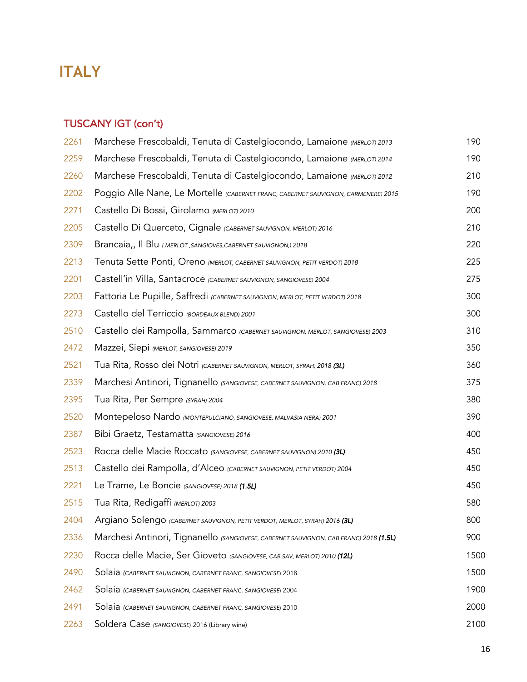# **ITALY**

#### TUSCANY IGT (con't)

| 2261 | Marchese Frescobaldi, Tenuta di Castelgiocondo, Lamaione (MERLOT) 2013                | 190  |
|------|---------------------------------------------------------------------------------------|------|
| 2259 | Marchese Frescobaldi, Tenuta di Castelgiocondo, Lamaione (MERLOT) 2014                | 190  |
| 2260 | Marchese Frescobaldi, Tenuta di Castelgiocondo, Lamaione (MERLOT) 2012                | 210  |
| 2202 | Poggio Alle Nane, Le Mortelle (CABERNET FRANC, CABERNET SAUVIGNON, CARMENERE) 2015    | 190  |
| 2271 | Castello Di Bossi, Girolamo (MERLOT) 2010                                             | 200  |
| 2205 | Castello Di Querceto, Cignale (CABERNET SAUVIGNON, MERLOT) 2016                       | 210  |
| 2309 | Brancaia,, Il Blu (MERLOT, SANGIOVES, CABERNET SAUVIGNON,) 2018                       | 220  |
| 2213 | Tenuta Sette Ponti, Oreno (MERLOT, CABERNET SAUVIGNON, PETIT VERDOT) 2018             | 225  |
| 2201 | Castell'in Villa, Santacroce (CABERNET SAUVIGNON, SANGIOVESE) 2004                    | 275  |
| 2203 | Fattoria Le Pupille, Saffredi (CABERNET SAUVIGNON, MERLOT, PETIT VERDOT) 2018         | 300  |
| 2273 | Castello del Terriccio (BORDEAUX BLEND) 2001                                          | 300  |
| 2510 | Castello dei Rampolla, Sammarco (CABERNET SAUVIGNON, MERLOT, SANGIOVESE) 2003         | 310  |
| 2472 | Mazzei, Siepi (MERLOT, SANGIOVESE) 2019                                               | 350  |
| 2521 | Tua Rita, Rosso dei Notri (CABERNET SAUVIGNON, MERLOT, SYRAH) 2018 (3L)               | 360  |
| 2339 | Marchesi Antinori, Tignanello (SANGIOVESE, CABERNET SAUVIGNON, CAB FRANC) 2018        | 375  |
| 2395 | Tua Rita, Per Sempre (SYRAH) 2004                                                     | 380  |
| 2520 | Montepeloso Nardo (MONTEPULCIANO, SANGIOVESE, MALVASIA NERA) 2001                     | 390  |
| 2387 | Bibi Graetz, Testamatta (SANGIOVESE) 2016                                             | 400  |
| 2523 | Rocca delle Macie Roccato (SANGIOVESE, CABERNET SAUVIGNON) 2010 (3L)                  | 450  |
| 2513 | Castello dei Rampolla, d'Alceo (CABERNET SAUVIGNON, PETIT VERDOT) 2004                | 450  |
| 2221 | Le Trame, Le Boncie (SANGIOVESE) 2018 (1.5L)                                          | 450  |
| 2515 | Tua Rita, Redigaffi (MERLOT) 2003                                                     | 580  |
| 2404 | Argiano Solengo (CABERNET SAUVIGNON, PETIT VERDOT, MERLOT, SYRAH) 2016 (3L)           | 800  |
| 2336 | Marchesi Antinori, Tignanello (SANGIOVESE, CABERNET SAUVIGNON, CAB FRANC) 2018 (1.5L) | 900  |
| 2230 | Rocca delle Macie, Ser Gioveto (SANGIOVESE, CAB SAV, MERLOT) 2010 (12L)               | 1500 |
| 2490 | Solaia (CABERNET SAUVIGNON, CABERNET FRANC, SANGIOVESE) 2018                          | 1500 |
| 2462 | Solaia (CABERNET SAUVIGNON, CABERNET FRANC, SANGIOVESE) 2004                          | 1900 |
| 2491 | Solaia (CABERNET SAUVIGNON, CABERNET FRANC, SANGIOVESE) 2010                          | 2000 |
| 2263 | Soldera Case (SANGIOVESE) 2016 (Library wine)                                         | 2100 |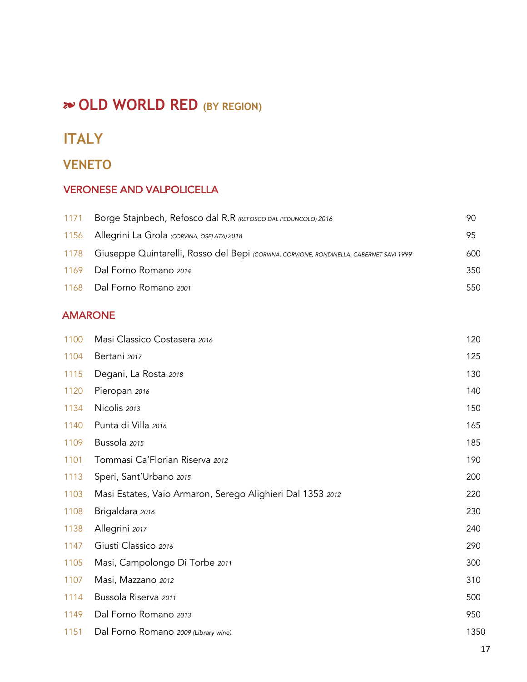# ! **OLD WORLD RED (BY REGION)**

### **ITALY**

### **VENETO**

### VERONESE AND VALPOLICELLA

| 1156 Allegrini La Grola (CORVINA, OSELATA) 2018<br>1178 Giuseppe Quintarelli, Rosso del Bepi (СОRVINA, СОRVIONE, RONDINELLA, CABERNET SAV) 1999<br>1169 Dal Forno Romano 2014<br>1168 Dal Forno Romano 2001 | 90  |
|-------------------------------------------------------------------------------------------------------------------------------------------------------------------------------------------------------------|-----|
|                                                                                                                                                                                                             | 95  |
|                                                                                                                                                                                                             | 600 |
|                                                                                                                                                                                                             | 350 |
|                                                                                                                                                                                                             | 550 |

#### AMARONE

| 1100 | Masi Classico Costasera 2016                               | 120  |
|------|------------------------------------------------------------|------|
| 1104 | Bertani 2017                                               | 125  |
| 1115 | Degani, La Rosta 2018                                      | 130  |
| 1120 | Pieropan 2016                                              | 140  |
| 1134 | Nicolis 2013                                               | 150  |
| 1140 | Punta di Villa 2016                                        | 165  |
| 1109 | Bussola 2015                                               | 185  |
| 1101 | Tommasi Ca'Florian Riserva 2012                            | 190  |
| 1113 | Speri, Sant'Urbano 2015                                    | 200  |
| 1103 | Masi Estates, Vaio Armaron, Serego Alighieri Dal 1353 2012 | 220  |
| 1108 | Brigaldara 2016                                            | 230  |
| 1138 | Allegrini 2017                                             | 240  |
| 1147 | Giusti Classico 2016                                       | 290  |
| 1105 | Masi, Campolongo Di Torbe 2011                             | 300  |
| 1107 | Masi, Mazzano 2012                                         | 310  |
| 1114 | Bussola Riserva 2011                                       | 500  |
| 1149 | Dal Forno Romano 2013                                      | 950  |
| 1151 | Dal Forno Romano 2009 (Library wine)                       | 1350 |
|      |                                                            |      |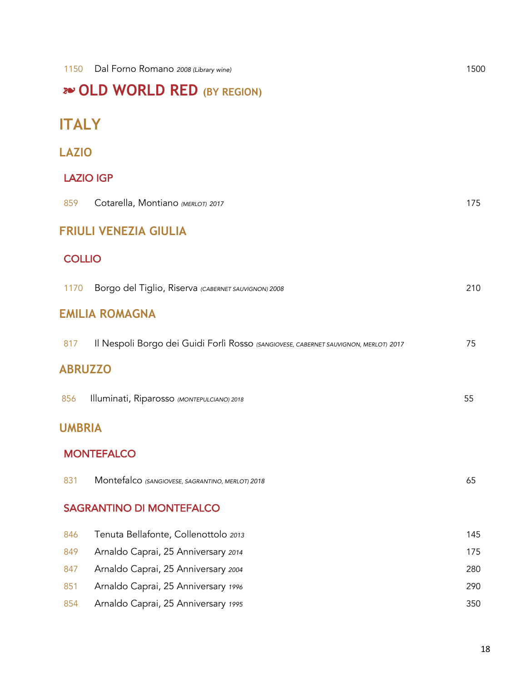# ! **OLD WORLD RED (BY REGION)**

# **ITALY**

### **LAZIO**

### LAZIO IGP

| 859            | Cotarella, Montiano (MERLOT) 2017                                                    | 175 |
|----------------|--------------------------------------------------------------------------------------|-----|
|                | <b>FRIULI VENEZIA GIULIA</b>                                                         |     |
| <b>COLLIO</b>  |                                                                                      |     |
| 1170           | Borgo del Tiglio, Riserva (CABERNET SAUVIGNON) 2008                                  | 210 |
|                | <b>EMILIA ROMAGNA</b>                                                                |     |
| 817            | Il Nespoli Borgo dei Guidi Forlì Rosso (SANGIOVESE, CABERNET SAUVIGNON, MERLOT) 2017 | 75  |
| <b>ABRUZZO</b> |                                                                                      |     |
| 856            | Illuminati, Riparosso (MONTEPULCIANO) 2018                                           | 55  |
| <b>UMBRIA</b>  |                                                                                      |     |
|                | <b>MONTEFALCO</b>                                                                    |     |
| 831            | Montefalco (SANGIOVESE, SAGRANTINO, MERLOT) 2018                                     | 65  |
|                | <b>SAGRANTINO DI MONTEFALCO</b>                                                      |     |
| 846            | Tenuta Bellafonte, Collenottolo 2013                                                 | 145 |
| 849            | Arnaldo Caprai, 25 Anniversary 2014                                                  | 175 |
| 847            | Arnaldo Caprai, 25 Anniversary 2004                                                  | 280 |
| 851            | Arnaldo Caprai, 25 Anniversary 1996                                                  | 290 |
| 854            | Arnaldo Caprai, 25 Anniversary 1995                                                  | 350 |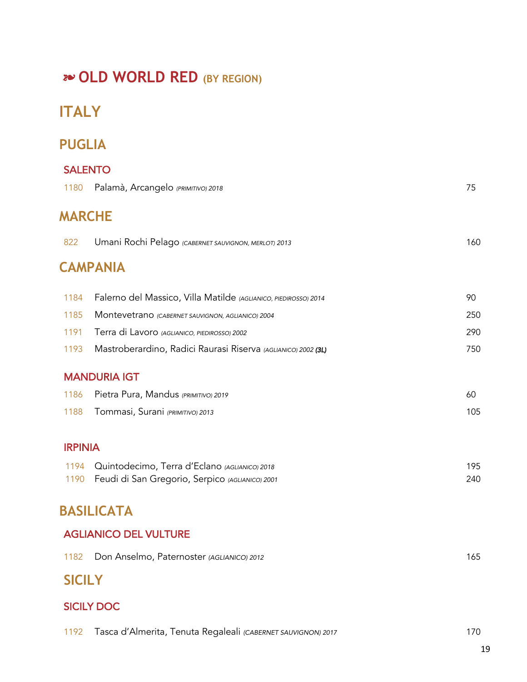# **20 OLD WORLD RED (BY REGION)**

# **ITALY**

## **PUGLIA**

| <b>SALENTO</b> |                                                                 |     |
|----------------|-----------------------------------------------------------------|-----|
| 1180           | Palamà, Arcangelo (PRIMITIVO) 2018                              | 75  |
| <b>MARCHE</b>  |                                                                 |     |
| 822            | Umani Rochi Pelago (CABERNET SAUVIGNON, MERLOT) 2013            | 160 |
|                | <b>CAMPANIA</b>                                                 |     |
| 1184           | Falerno del Massico, Villa Matilde (AGLIANICO, PIEDIROSSO) 2014 | 90  |
| 1185           | Montevetrano (CABERNET SAUVIGNON, AGLIANICO) 2004               | 250 |
| 1191           | Terra di Lavoro (AGLIANICO, PIEDIROSSO) 2002                    | 290 |
| 1193           | Mastroberardino, Radici Raurasi Riserva (AGLIANICO) 2002 (3L)   | 750 |
|                | <b>MANDURIA IGT</b>                                             |     |
| 1186           | Pietra Pura, Mandus (PRIMITIVO) 2019                            | 60  |
| 1188           | Tommasi, Surani (PRIMITIVO) 2013                                | 105 |
| <b>IRPINIA</b> |                                                                 |     |
| 1194           | Quintodecimo, Terra d'Eclano (AGLIANICO) 2018                   | 195 |
| 1190           | Feudi di San Gregorio, Serpico (AGLIANICO) 2001                 | 240 |
|                | <b>BASILICATA</b>                                               |     |
|                | <b>AGLIANICO DEL VULTURE</b>                                    |     |
| 1182           | Don Anselmo, Paternoster (AGLIANICO) 2012                       | 165 |

# **SICILY**

### SICILY DOC

| 1192 Tasca d'Almerita, Tenuta Regaleali (CABERNET SAUVIGNON) 2017 | 170 |
|-------------------------------------------------------------------|-----|
|-------------------------------------------------------------------|-----|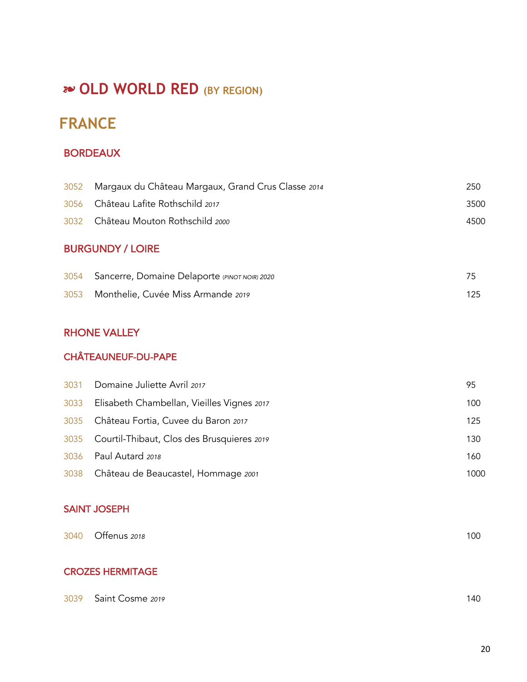# !"**OLD WORLD RED (BY REGION)**

# **FRANCE**

#### BORDEAUX

| <b>BURGUNDY / LOIRE</b> |                                                         |      |
|-------------------------|---------------------------------------------------------|------|
|                         | 3032 Château Mouton Rothschild 2000                     | 4500 |
|                         | 3056 Château Lafite Rothschild 2017                     | 3500 |
|                         | 3052 Margaux du Château Margaux, Grand Crus Classe 2014 | 250  |

### Sancerre, Domaine Delaporte (*PINOT NOIR) 2020* 75 Monthelie, Cuvée Miss Armande *<sup>2019</sup>* 125

#### RHONE VALLEY

#### CHÂTEAUNEUF-DU-PAPE

| 3031 Domaine Juliette Avril 2017                | 95   |
|-------------------------------------------------|------|
| 3033 Elisabeth Chambellan, Vieilles Vignes 2017 | 100  |
| 3035 Château Fortia, Cuvee du Baron 2017        | 125  |
| 3035 Courtil-Thibaut, Clos des Brusquieres 2019 | 130  |
| 3036 Paul Autard 2018                           | 160  |
| 3038 Château de Beaucastel, Hommage 2001        | 1000 |

#### SAINT JOSEPH

| 3040 Offenus 2018       | 100 |
|-------------------------|-----|
| <b>CROZES HERMITAGE</b> |     |
|                         |     |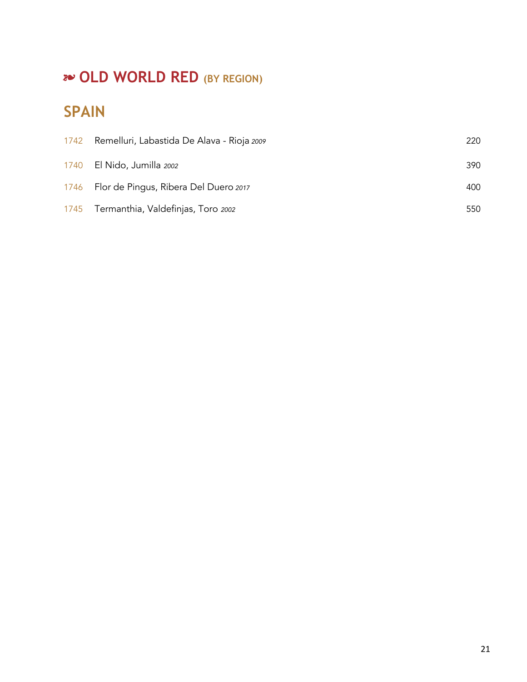# **20 OLD WORLD RED (BY REGION)**

# **SPAIN**

| 1742 Remelluri, Labastida De Alava - Rioja 2009 | 220 |
|-------------------------------------------------|-----|
| 1740 El Nido, Jumilla 2002                      | 390 |
| 1746 Flor de Pingus, Ribera Del Duero 2017      | 400 |
| 1745 Termanthia, Valdefinjas, Toro 2002         | 550 |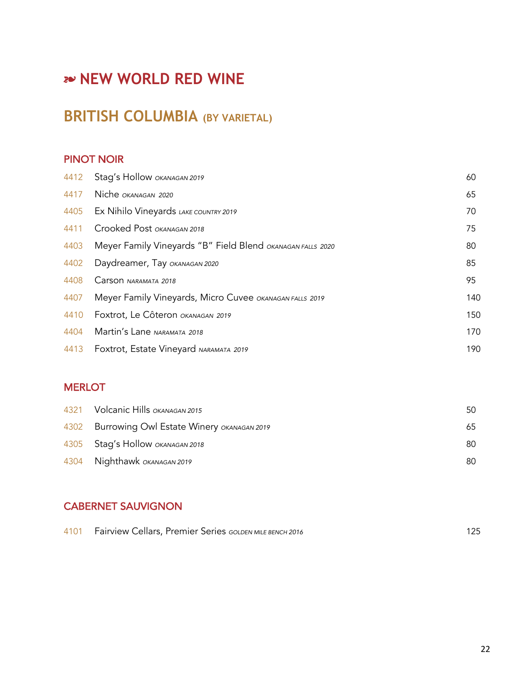# **BRITISH COLUMBIA (BY VARIETAL)**

### PINOT NOIR

| 4412 | Stag's Hollow OKANAGAN 2019                                | 60  |
|------|------------------------------------------------------------|-----|
| 4417 | Niche OKANAGAN 2020                                        | 65  |
| 4405 | Ex Nihilo Vineyards LAKE COUNTRY 2019                      | 70  |
| 4411 | Crooked Post OKANAGAN 2018                                 | 75  |
| 4403 | Meyer Family Vineyards "B" Field Blend OKANAGAN FALLS 2020 | 80  |
| 4402 | Daydreamer, Tay OKANAGAN 2020                              | 85  |
| 4408 | Carson NARAMATA 2018                                       | 95  |
| 4407 | Meyer Family Vineyards, Micro Cuvee OKANAGAN FALLS 2019    | 140 |
| 4410 | Foxtrot, Le Côteron OKANAGAN 2019                          | 150 |
| 4404 | Martin's Lane NARAMATA 2018                                | 170 |
| 4413 | Foxtrot, Estate Vineyard NARAMATA 2019                     | 190 |

#### **MERLOT**

| 50 |
|----|
| 65 |
| 80 |
| 80 |
|    |

### CABERNET SAUVIGNON

| 4101 Fairview Cellars, Premier Series GOLDEN MILE BENCH 2016 |  |
|--------------------------------------------------------------|--|
|--------------------------------------------------------------|--|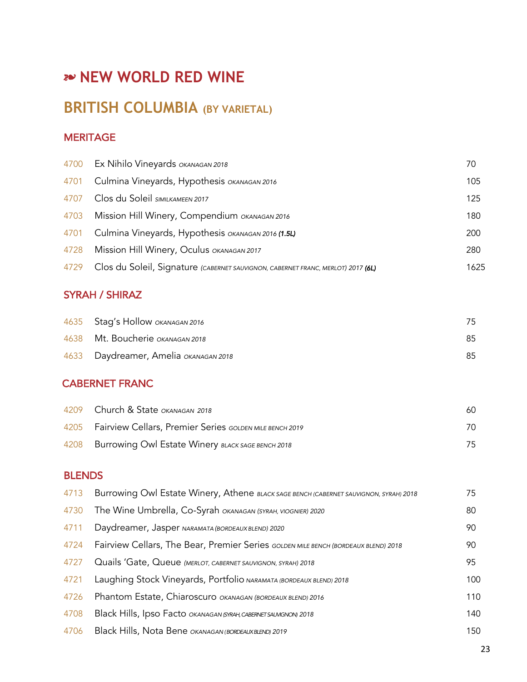# **BRITISH COLUMBIA (BY VARIETAL)**

### **MERITAGE**

|      | 4700 Ex Nihilo Vineyards OKANAGAN 2018                                           | 70   |
|------|----------------------------------------------------------------------------------|------|
|      | 4701 Culmina Vineyards, Hypothesis OKANAGAN 2016                                 | 105  |
| 4707 | Clos du Soleil SIMILKAMEEN 2017                                                  | 125  |
|      | 4703 Mission Hill Winery, Compendium OKANAGAN 2016                               | 180  |
|      | 4701 Culmina Vineyards, Hypothesis OKANAGAN 2016 (1.5L)                          | 200  |
| 4728 | Mission Hill Winery, Oculus OKANAGAN 2017                                        | 280  |
| 4729 | Clos du Soleil, Signature (CABERNET SAUVIGNON, CABERNET FRANC, MERLOT) 2017 (6L) | 1625 |
|      |                                                                                  |      |

### SYRAH / SHIRAZ

| 4635 Stag's Hollow OKANAGAN 2016      | 75. |
|---------------------------------------|-----|
| 4638 Mt. Boucherie OKANAGAN 2018      | 85  |
| 4633 Daydreamer, Amelia OKANAGAN 2018 | 85  |

### CABERNET FRANC

| 4209 Church & State OKANAGAN 2018                            | 60 |
|--------------------------------------------------------------|----|
| 4205 Fairview Cellars, Premier Series GOLDEN MILE BENCH 2019 | 70 |
| 4208 Burrowing Owl Estate Winery BLACK SAGE BENCH 2018       | 75 |

### BLENDS

| 4713 | Burrowing Owl Estate Winery, Athene BLACK SAGE BENCH (CABERNET SAUVIGNON, SYRAH) 2018 | 75  |
|------|---------------------------------------------------------------------------------------|-----|
| 4730 | The Wine Umbrella, Co-Syrah OKANAGAN (SYRAH, VIOGNIER) 2020                           | 80  |
| 4711 | Daydreamer, Jasper NARAMATA (BORDEAUX BLEND) 2020                                     | 90  |
| 4724 | Fairview Cellars, The Bear, Premier Series GOLDEN MILE BENCH (BORDEAUX BLEND) 2018    | 90  |
| 4727 | Quails 'Gate, Queue (MERLOT, CABERNET SAUVIGNON, SYRAH) 2018                          | 95  |
| 4721 | Laughing Stock Vineyards, Portfolio NARAMATA (BORDEAUX BLEND) 2018                    | 100 |
| 4726 | Phantom Estate, Chiaroscuro OKANAGAN (BORDEAUX BLEND) 2016                            | 110 |
| 4708 | Black Hills, Ipso Facto OKANAGAN (SYRAH, CABERNET SAUNGNON) 2018                      | 140 |
| 4706 | Black Hills, Nota Bene OKANAGAN (BORDEAUXBLEND) 2019                                  | 150 |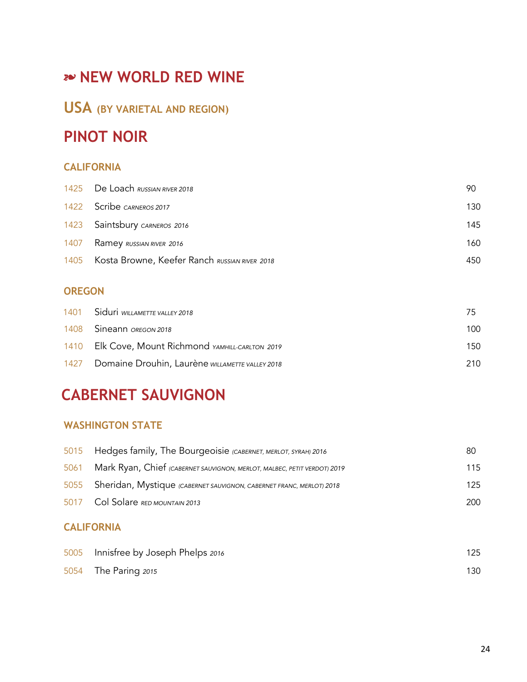# **USA (BY VARIETAL AND REGION)**

# **PINOT NOIR**

### **CALIFORNIA**

| 1425 De Loach RUSSIAN RIVER 2018                   | 90  |
|----------------------------------------------------|-----|
| 1422 Scribe CARNEROS 2017                          | 130 |
| 1423 Saintsbury CARNEROS 2016                      | 145 |
| 1407 Ramey RUSSIAN RIVER 2016                      | 160 |
| 1405 Kosta Browne, Keefer Ranch RUSSIAN RIVER 2018 | 450 |

#### **OREGON**

| 1401 Siduri WILLAMETTE VALLEY 2018                   |      |
|------------------------------------------------------|------|
| 1408 Sineann OREGON 2018                             | 100. |
| 1410 Elk Cove, Mount Richmond YAMHILL-CARLTON 2019   | 150. |
| 1427 Domaine Drouhin, Laurène WILLAMETTE VALLEY 2018 | 210. |

# **CABERNET SAUVIGNON**

#### **WASHINGTON STATE**

| 80  |
|-----|
| 115 |
| 125 |
| 200 |
|     |

#### **CALIFORNIA**

| 5005 Innisfree by Joseph Phelps 2016 | 125 |
|--------------------------------------|-----|
| 5054 The Paring 2015                 | 130 |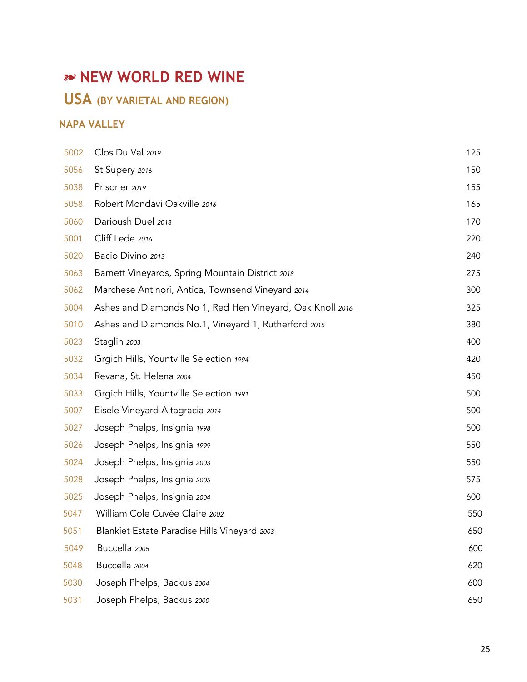# **USA (BY VARIETAL AND REGION)**

### **NAPA VALLEY**

| 5002 | Clos Du Val 2019                                          | 125 |
|------|-----------------------------------------------------------|-----|
| 5056 | St Supery 2016                                            | 150 |
| 5038 | Prisoner 2019                                             | 155 |
| 5058 | Robert Mondavi Oakville 2016                              | 165 |
| 5060 | Darioush Duel 2018                                        | 170 |
| 5001 | Cliff Lede 2016                                           | 220 |
| 5020 | Bacio Divino 2013                                         | 240 |
| 5063 | Barnett Vineyards, Spring Mountain District 2018          | 275 |
| 5062 | Marchese Antinori, Antica, Townsend Vineyard 2014         | 300 |
| 5004 | Ashes and Diamonds No 1, Red Hen Vineyard, Oak Knoll 2016 | 325 |
| 5010 | Ashes and Diamonds No.1, Vineyard 1, Rutherford 2015      | 380 |
| 5023 | Staglin 2003                                              | 400 |
| 5032 | Grgich Hills, Yountville Selection 1994                   | 420 |
| 5034 | Revana, St. Helena 2004                                   | 450 |
| 5033 | Grgich Hills, Yountville Selection 1991                   | 500 |
| 5007 | Eisele Vineyard Altagracia 2014                           | 500 |
| 5027 | Joseph Phelps, Insignia 1998                              | 500 |
| 5026 | Joseph Phelps, Insignia 1999                              | 550 |
| 5024 | Joseph Phelps, Insignia 2003                              | 550 |
| 5028 | Joseph Phelps, Insignia 2005                              | 575 |
| 5025 | Joseph Phelps, Insignia 2004                              | 600 |
| 5047 | William Cole Cuvée Claire 2002                            | 550 |
| 5051 | Blankiet Estate Paradise Hills Vineyard 2003              | 650 |
| 5049 | Buccella 2005                                             | 600 |
| 5048 | Buccella 2004                                             | 620 |
| 5030 | Joseph Phelps, Backus 2004                                | 600 |
| 5031 | Joseph Phelps, Backus 2000                                | 650 |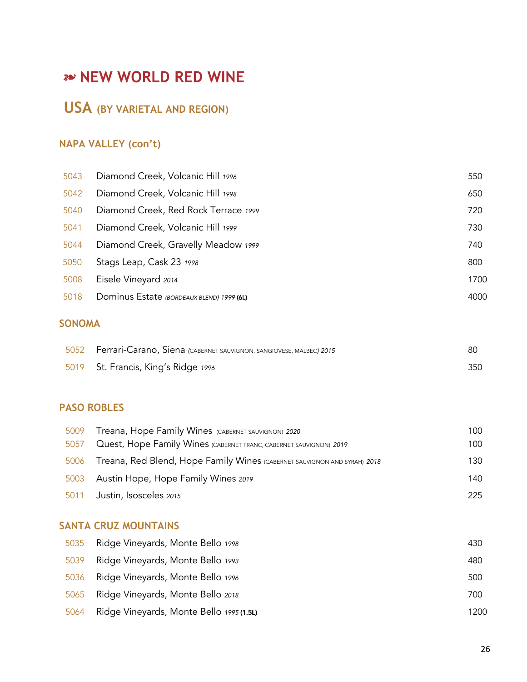# **USA (BY VARIETAL AND REGION)**

### **NAPA VALLEY (con't)**

| 5043 | Diamond Creek, Volcanic Hill 1996         | 550  |
|------|-------------------------------------------|------|
| 5042 | Diamond Creek, Volcanic Hill 1998         | 650  |
| 5040 | Diamond Creek, Red Rock Terrace 1999      | 720  |
| 5041 | Diamond Creek, Volcanic Hill 1999         | 730  |
| 5044 | Diamond Creek, Gravelly Meadow 1999       | 740  |
| 5050 | Stags Leap, Cask 23 1998                  | 800  |
| 5008 | Eisele Vineyard 2014                      | 1700 |
| 5018 | Dominus Estate (BORDEAUX BLEND) 1999 (6L) | 4000 |
|      |                                           |      |

### **SONOMA**

| 5052 Ferrari-Carano, Siena (CABERNET SAUVIGNON, SANGIOVESE, MALBEC) 2015 | 80  |
|--------------------------------------------------------------------------|-----|
| 5019 St. Francis, King's Ridge 1996                                      | 350 |

#### **PASO ROBLES**

| 5009 | Treana, Hope Family Wines (CABERNET SAUVIGNON) 2020                      | 100 |
|------|--------------------------------------------------------------------------|-----|
| 5057 | Quest, Hope Family Wines (CABERNET FRANC, CABERNET SAUVIGNON) 2019       | 100 |
| 5006 | Treana, Red Blend, Hope Family Wines (CABERNET SAUVIGNON AND SYRAH) 2018 | 130 |
|      | 5003 Austin Hope, Hope Family Wines 2019                                 | 140 |
|      | 5011 Justin, Isosceles 2015                                              | 225 |

#### **SANTA CRUZ MOUNTAINS**

| 5035 | Ridge Vineyards, Monte Bello 1998        | 430  |
|------|------------------------------------------|------|
| 5039 | Ridge Vineyards, Monte Bello 1993        | 480  |
| 5036 | Ridge Vineyards, Monte Bello 1996        | 500  |
| 5065 | Ridge Vineyards, Monte Bello 2018        | 700  |
| 5064 | Ridge Vineyards, Monte Bello 1995 (1.5L) | 1200 |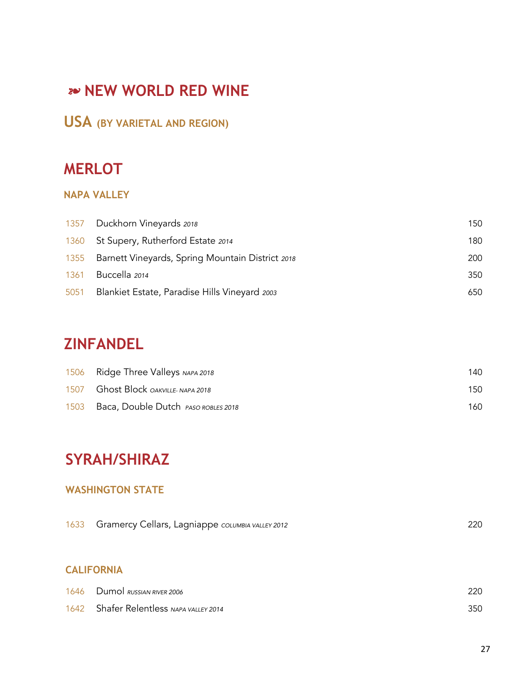# **USA (BY VARIETAL AND REGION)**

# **MERLOT**

### **NAPA VALLEY**

|      | 1357 Duckhorn Vineyards 2018                          | 150 |
|------|-------------------------------------------------------|-----|
|      | 1360 St Supery, Rutherford Estate 2014                | 180 |
|      | 1355 Barnett Vineyards, Spring Mountain District 2018 | 200 |
| 1361 | Buccella 2014                                         | 350 |
|      | 5051 Blankiet Estate, Paradise Hills Vineyard 2003    | 650 |

# **ZINFANDEL**

|      | 1506 Ridge Three Valleys NAPA 2018   | 140. |
|------|--------------------------------------|------|
|      | 1507 Ghost Block OAKVILLE- NAPA 2018 | 150. |
| 1503 | Baca, Double Dutch PASO ROBLES 2018  | 160. |

# **SYRAH/SHIRAZ**

#### **WASHINGTON STATE**

| 220 |
|-----|
|     |
|     |
|     |
| 220 |
| 350 |
|     |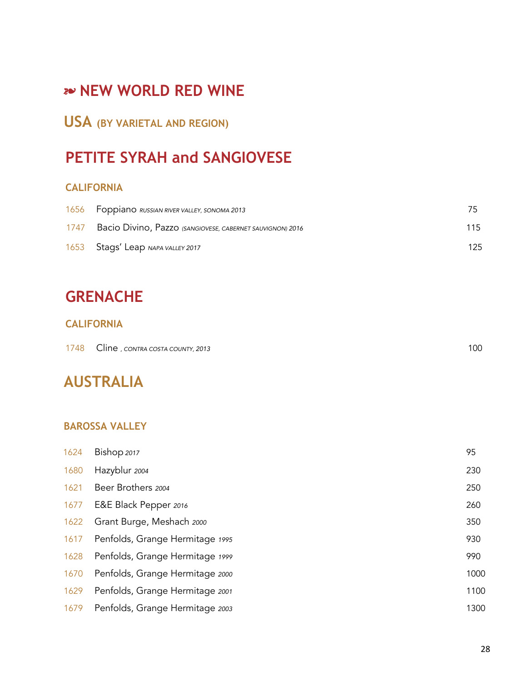# **USA (BY VARIETAL AND REGION)**

# **PETITE SYRAH and SANGIOVESE**

#### **CALIFORNIA**

|      | 1656 Foppiano RUSSIAN RIVER VALLEY, SONOMA 2013           |     |
|------|-----------------------------------------------------------|-----|
| 1747 | Bacio Divino, Pazzo (SANGIOVESE, CABERNET SAUVIGNON) 2016 | 115 |
|      | 1653 Stags' Leap NAPA VALLEY 2017                         | 125 |

# **GRENACHE**

#### **CALIFORNIA**

| 1748 | Cline, contra costa county, 2013 | 100 |
|------|----------------------------------|-----|
|------|----------------------------------|-----|

# **AUSTRALIA**

#### **BAROSSA VALLEY**

| 1624 | Bishop 2017                     | 95   |
|------|---------------------------------|------|
| 1680 | Hazyblur 2004                   | 230  |
| 1621 | Beer Brothers 2004              | 250  |
| 1677 | E&E Black Pepper 2016           | 260  |
| 1622 | Grant Burge, Meshach 2000       | 350  |
| 1617 | Penfolds, Grange Hermitage 1995 | 930  |
| 1628 | Penfolds, Grange Hermitage 1999 | 990  |
| 1670 | Penfolds, Grange Hermitage 2000 | 1000 |
| 1629 | Penfolds, Grange Hermitage 2001 | 1100 |
| 1679 | Penfolds, Grange Hermitage 2003 | 1300 |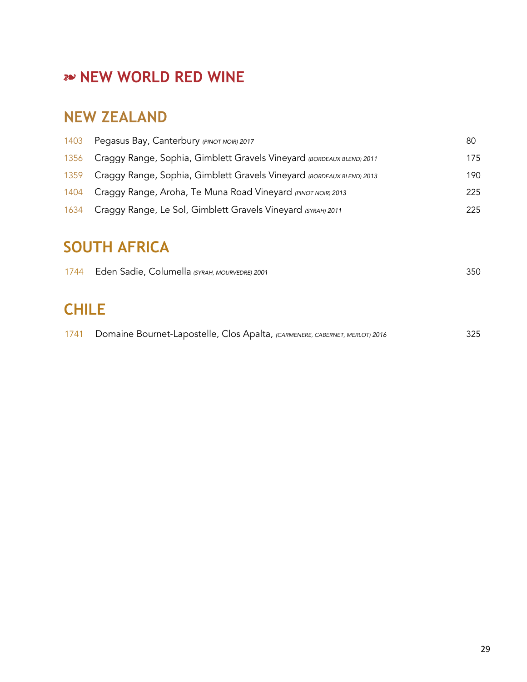# **NEW ZEALAND**

| 1403 | Pegasus Bay, Canterbury (PINOT NOIR) 2017                                  | 80  |
|------|----------------------------------------------------------------------------|-----|
|      | 1356 Craggy Range, Sophia, Gimblett Gravels Vineyard (BORDEAUX BLEND) 2011 | 175 |
|      | 1359 Craggy Range, Sophia, Gimblett Gravels Vineyard (BORDEAUX BLEND) 2013 | 190 |
|      | 1404 Craggy Range, Aroha, Te Muna Road Vineyard (PINOT NOIR) 2013          | 225 |
|      | 1634 Craggy Range, Le Sol, Gimblett Gravels Vineyard (SYRAH) 2011          | 225 |

# **SOUTH AFRICA**

| 1744 Eden Sadie, Columella (SYRAH, MOURVEDRE) 2001 |  | 350 |
|----------------------------------------------------|--|-----|
|                                                    |  |     |

# **CHILE**

| 1741 Domaine Bournet-Lapostelle, Clos Apalta, (CARMENERE, CABERNET, MERLOT) 2016 | 325 |
|----------------------------------------------------------------------------------|-----|
|                                                                                  |     |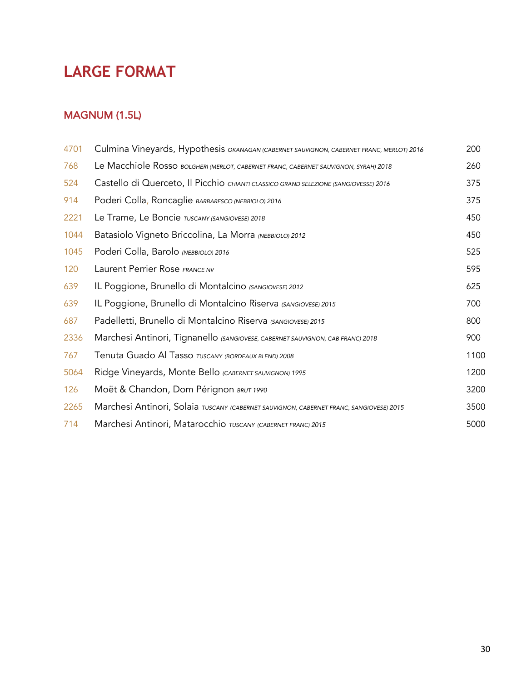# **LARGE FORMAT**

#### MAGNUM (1.5L)

| 4701 | Culmina Vineyards, Hypothesis <i>ока</i> ласал (саверлет sauvignon, саверлет FRANC, мерlот) 2016 | 200  |
|------|--------------------------------------------------------------------------------------------------|------|
| 768  | Le Macchiole Rosso BOLGHERI (MERLOT, CABERNET FRANC, CABERNET SAUVIGNON, SYRAH) 2018             | 260  |
| 524  | Castello di Querceto, Il Picchio CHIANTI CLASSICO GRAND SELEZIONE (SANGIOVESSE) 2016             | 375  |
| 914  | Poderi Colla, Roncaglie BARBARESCO (NEBBIOLO) 2016                                               | 375  |
| 2221 | Le Trame, Le Boncie TUSCANY (SANGIOVESE) 2018                                                    | 450  |
| 1044 | Batasiolo Vigneto Briccolina, La Morra (NEBBIOLO) 2012                                           | 450  |
| 1045 | Poderi Colla, Barolo (NEBBIOLO) 2016                                                             | 525  |
| 120  | Laurent Perrier Rose FRANCE NV                                                                   | 595  |
| 639  | IL Poggione, Brunello di Montalcino (SANGIOVESE) 2012                                            | 625  |
| 639  | IL Poggione, Brunello di Montalcino Riserva (SANGIOVESE) 2015                                    | 700  |
| 687  | Padelletti, Brunello di Montalcino Riserva (SANGIOVESE) 2015                                     | 800  |
| 2336 | Marchesi Antinori, Tignanello (SANGIOVESE, CABERNET SAUVIGNON, CAB FRANC) 2018                   | 900  |
| 767  | Tenuta Guado Al Tasso TUSCANY (BORDEAUX BLEND) 2008                                              | 1100 |
| 5064 | Ridge Vineyards, Monte Bello (CABERNET SAUVIGNON) 1995                                           | 1200 |
| 126  | Moët & Chandon, Dom Pérignon BRUT 1990                                                           | 3200 |
| 2265 | Marchesi Antinori, Solaia TUSCANY (CABERNET SAUVIGNON, CABERNET FRANC, SANGIOVESE) 2015          | 3500 |
| 714  | Marchesi Antinori, Matarocchio TUSCANY (CABERNET FRANC) 2015                                     | 5000 |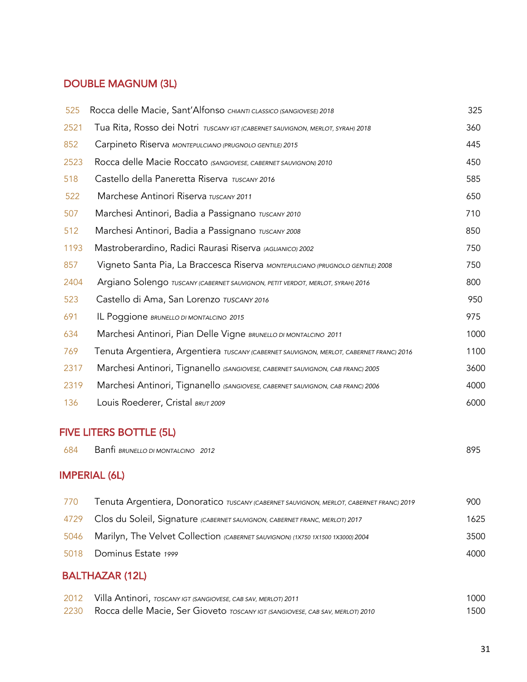### DOUBLE MAGNUM (3L)

| 525  | Rocca delle Macie, Sant'Alfonso CHIANTI CLASSICO (SANGIOVESE) 2018                      | 325  |
|------|-----------------------------------------------------------------------------------------|------|
| 2521 | Tua Rita, Rosso dei Notri TUSCANY IGT (CABERNET SAUVIGNON, MERLOT, SYRAH) 2018          | 360  |
| 852  | Carpineto Riserva MONTEPULCIANO (PRUGNOLO GENTILE) 2015                                 | 445  |
| 2523 | Rocca delle Macie Roccato (SANGIOVESE, CABERNET SAUVIGNON) 2010                         | 450  |
| 518  | Castello della Paneretta Riserva TUSCANY 2016                                           | 585  |
| 522  | Marchese Antinori Riserva TUSCANY 2011                                                  | 650  |
| 507  | Marchesi Antinori, Badia a Passignano TUSCANY 2010                                      | 710  |
| 512  | Marchesi Antinori, Badia a Passignano TUSCANY 2008                                      | 850  |
| 1193 | Mastroberardino, Radici Raurasi Riserva (AGLIANICO) 2002                                | 750  |
| 857  | Vigneto Santa Pia, La Braccesca Riserva MONTEPULCIANO (PRUGNOLO GENTILE) 2008           | 750  |
| 2404 | Argiano Solengo TUSCANY (CABERNET SAUVIGNON, PETIT VERDOT, MERLOT, SYRAH) 2016          | 800  |
| 523  | Castello di Ama, San Lorenzo TUSCANY 2016                                               | 950  |
| 691  | IL Poggione BRUNELLO DI MONTALCINO 2015                                                 | 975  |
| 634  | Marchesi Antinori, Pian Delle Vigne BRUNELLO DI MONTALCINO 2011                         | 1000 |
| 769  | Tenuta Argentiera, Argentiera TUSCANY (CABERNET SAUVIGNON, MERLOT, CABERNET FRANC) 2016 | 1100 |
| 2317 | Marchesi Antinori, Tignanello (SANGIOVESE, CABERNET SAUVIGNON, CAB FRANC) 2005          | 3600 |
| 2319 | Marchesi Antinori, Tignanello (SANGIOVESE, CABERNET SAUVIGNON, CAB FRANC) 2006          | 4000 |
| 136  | Louis Roederer, Cristal BRUT 2009                                                       | 6000 |

#### FIVE LITERS BOTTLE (5L)

| 684 | Banti BRUNELLO DI MONTALCINO 2012 | ROL |
|-----|-----------------------------------|-----|
|     |                                   |     |

#### IMPERIAL (6L)

| 770 | Tenuta Argentiera, Donoratico TUSCANY (CABERNET SAUVIGNON, MERLOT, CABERNET FRANC) 2019 | 900  |
|-----|-----------------------------------------------------------------------------------------|------|
|     | 4729 Clos du Soleil, Signature (CABERNET SAUVIGNON, CABERNET FRANC, MERLOT) 2017        | 1625 |
|     | 5046 Marilyn, The Velvet Collection (CABERNET SAUVIGNON) (1X750 1X1500 1X3000) 2004     | 3500 |
|     | 5018 Dominus Estate 1999                                                                | 4000 |
|     |                                                                                         |      |

### BALTHAZAR (12L)

| 2012 | Villa Antinori, Toscany igt (sangiovese, cab sav, merlot) 2011                     | 1000 |
|------|------------------------------------------------------------------------------------|------|
|      | 2230 Rocca delle Macie, Ser Gioveto TOSCANY IGT (SANGIOVESE, CAB SAV, MERLOT) 2010 | 1500 |